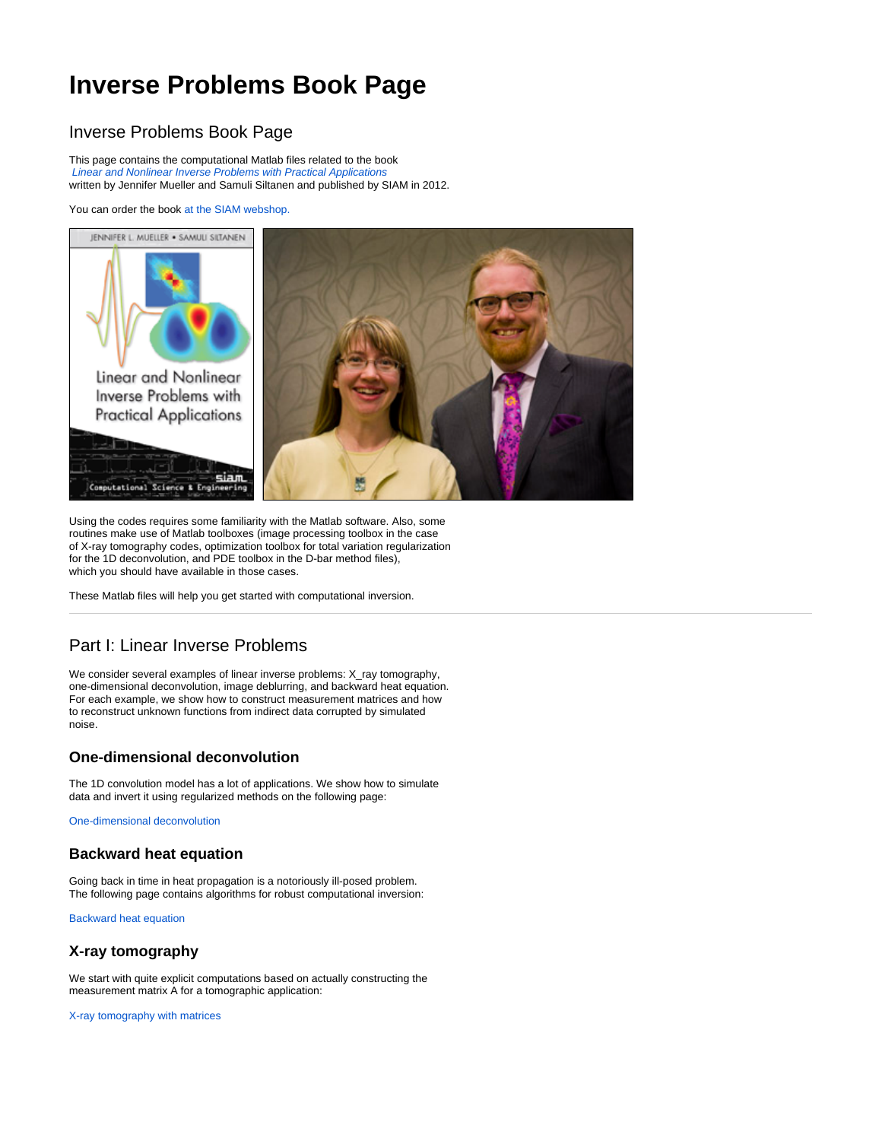# **Inverse Problems Book Page**

## Inverse Problems Book Page

This page contains the computational Matlab files related to the book [Linear and Nonlinear Inverse Problems with Practical Applications](http://www.ec-securehost.com/SIAM/CS10.html) written by Jennifer Mueller and Samuli Siltanen and published by SIAM in 2012.

You can order the book [at the SIAM webshop.](http://bookstore.siam.org/cs10/)



Using the codes requires some familiarity with the Matlab software. Also, some routines make use of Matlab toolboxes (image processing toolbox in the case of X-ray tomography codes, optimization toolbox for total variation regularization for the 1D deconvolution, and PDE toolbox in the D-bar method files), which you should have available in those cases.

These Matlab files will help you get started with computational inversion.

## Part I: Linear Inverse Problems

We consider several examples of linear inverse problems: X\_ray tomography, one-dimensional deconvolution, image deblurring, and backward heat equation. For each example, we show how to construct measurement matrices and how to reconstruct unknown functions from indirect data corrupted by simulated noise.

#### **One-dimensional deconvolution**

The 1D convolution model has a lot of applications. We show how to simulate data and invert it using regularized methods on the following page:

[One-dimensional deconvolution](http://wiki.helsinki.fi/display/mathstatHenkilokunta/1D+Deconvolution)

#### **Backward heat equation**

Going back in time in heat propagation is a notoriously ill-posed problem. The following page contains algorithms for robust computational inversion:

[Backward heat equation](http://wiki.helsinki.fi/display/mathstatHenkilokunta/Backward+heat+equation)

### **X-ray tomography**

We start with quite explicit computations based on actually constructing the measurement matrix A for a tomographic application:

[X-ray tomography with matrices](http://wiki.helsinki.fi/display/mathstatHenkilokunta/X-ray+tomography+with+matrices)